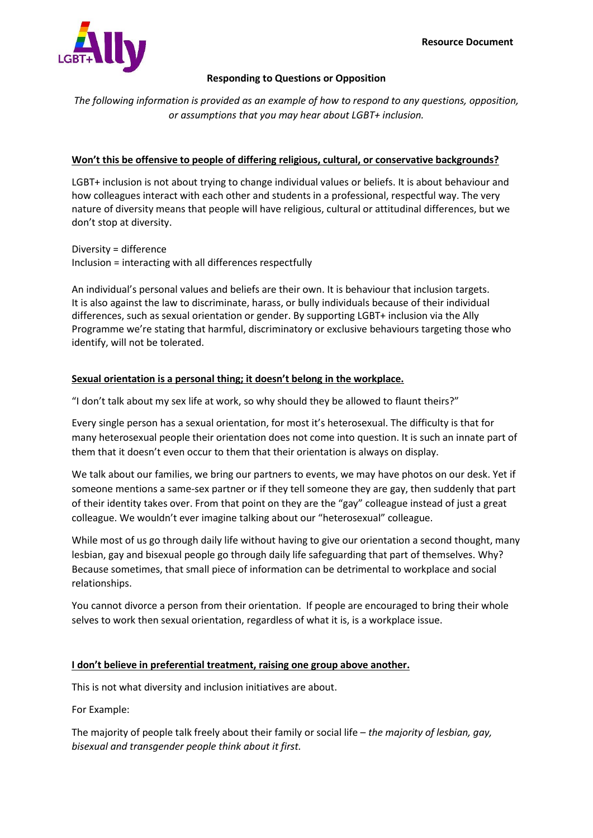

## **Responding to Questions or Opposition**

*The following information is provided as an example of how to respond to any questions, opposition, or assumptions that you may hear about LGBT+ inclusion.*

# **Won't this be offensive to people of differing religious, cultural, or conservative backgrounds?**

LGBT+ inclusion is not about trying to change individual values or beliefs. It is about behaviour and how colleagues interact with each other and students in a professional, respectful way. The very nature of diversity means that people will have religious, cultural or attitudinal differences, but we don't stop at diversity.

Diversity = difference Inclusion = interacting with all differences respectfully

An individual's personal values and beliefs are their own. It is behaviour that inclusion targets. It is also against the law to discriminate, harass, or bully individuals because of their individual differences, such as sexual orientation or gender. By supporting LGBT+ inclusion via the Ally Programme we're stating that harmful, discriminatory or exclusive behaviours targeting those who identify, will not be tolerated.

# **Sexual orientation is a personal thing; it doesn't belong in the workplace.**

"I don't talk about my sex life at work, so why should they be allowed to flaunt theirs?"

Every single person has a sexual orientation, for most it's heterosexual. The difficulty is that for many heterosexual people their orientation does not come into question. It is such an innate part of them that it doesn't even occur to them that their orientation is always on display.

We talk about our families, we bring our partners to events, we may have photos on our desk. Yet if someone mentions a same-sex partner or if they tell someone they are gay, then suddenly that part of their identity takes over. From that point on they are the "gay" colleague instead of just a great colleague. We wouldn't ever imagine talking about our "heterosexual" colleague.

While most of us go through daily life without having to give our orientation a second thought, many lesbian, gay and bisexual people go through daily life safeguarding that part of themselves. Why? Because sometimes, that small piece of information can be detrimental to workplace and social relationships.

You cannot divorce a person from their orientation. If people are encouraged to bring their whole selves to work then sexual orientation, regardless of what it is, is a workplace issue.

## **I don't believe in preferential treatment, raising one group above another.**

This is not what diversity and inclusion initiatives are about.

For Example:

The majority of people talk freely about their family or social life – *the majority of lesbian, gay, bisexual and transgender people think about it first.*